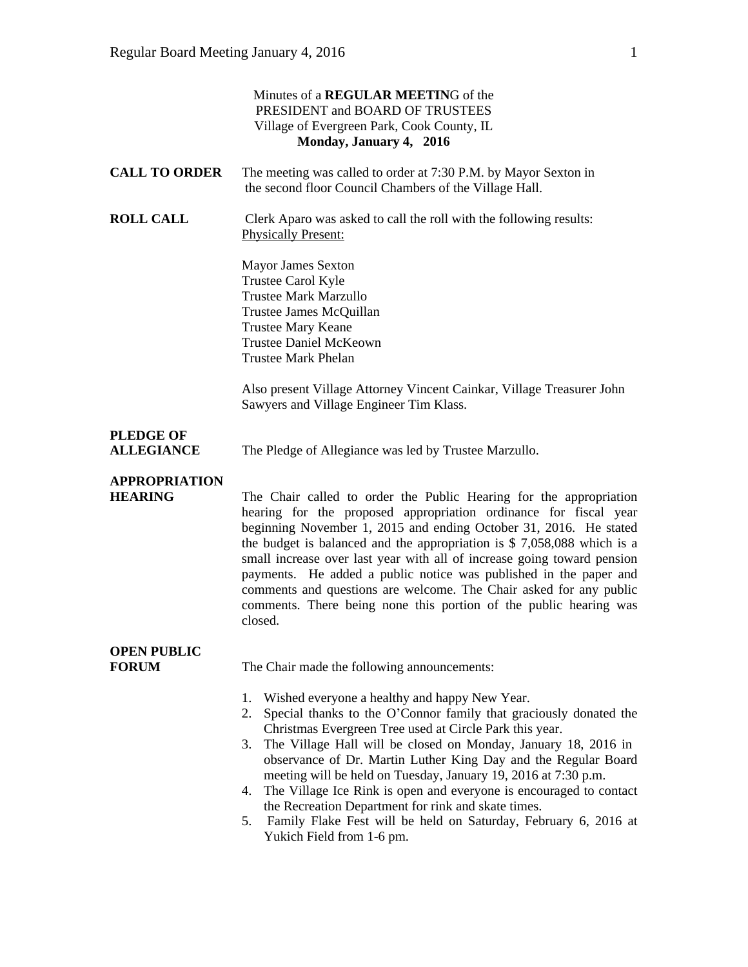|                                        | Minutes of a <b>REGULAR MEETING</b> of the<br>PRESIDENT and BOARD OF TRUSTEES<br>Village of Evergreen Park, Cook County, IL<br>Monday, January 4, 2016                                                                                                                                                                                                                                                                                                                                                                                                                                                                                         |
|----------------------------------------|------------------------------------------------------------------------------------------------------------------------------------------------------------------------------------------------------------------------------------------------------------------------------------------------------------------------------------------------------------------------------------------------------------------------------------------------------------------------------------------------------------------------------------------------------------------------------------------------------------------------------------------------|
| <b>CALL TO ORDER</b>                   | The meeting was called to order at 7:30 P.M. by Mayor Sexton in<br>the second floor Council Chambers of the Village Hall.                                                                                                                                                                                                                                                                                                                                                                                                                                                                                                                      |
| <b>ROLL CALL</b>                       | Clerk Aparo was asked to call the roll with the following results:<br><b>Physically Present:</b>                                                                                                                                                                                                                                                                                                                                                                                                                                                                                                                                               |
|                                        | <b>Mayor James Sexton</b><br>Trustee Carol Kyle<br><b>Trustee Mark Marzullo</b><br>Trustee James McQuillan<br><b>Trustee Mary Keane</b><br><b>Trustee Daniel McKeown</b><br><b>Trustee Mark Phelan</b>                                                                                                                                                                                                                                                                                                                                                                                                                                         |
|                                        | Also present Village Attorney Vincent Cainkar, Village Treasurer John<br>Sawyers and Village Engineer Tim Klass.                                                                                                                                                                                                                                                                                                                                                                                                                                                                                                                               |
| <b>PLEDGE OF</b><br><b>ALLEGIANCE</b>  | The Pledge of Allegiance was led by Trustee Marzullo.                                                                                                                                                                                                                                                                                                                                                                                                                                                                                                                                                                                          |
| <b>APPROPRIATION</b><br><b>HEARING</b> | The Chair called to order the Public Hearing for the appropriation<br>hearing for the proposed appropriation ordinance for fiscal year<br>beginning November 1, 2015 and ending October 31, 2016. He stated<br>the budget is balanced and the appropriation is $$7,058,088$ which is a<br>small increase over last year with all of increase going toward pension<br>payments. He added a public notice was published in the paper and<br>comments and questions are welcome. The Chair asked for any public<br>comments. There being none this portion of the public hearing was<br>closed.                                                   |
| <b>OPEN PUBLIC</b><br><b>FORUM</b>     | The Chair made the following announcements:                                                                                                                                                                                                                                                                                                                                                                                                                                                                                                                                                                                                    |
|                                        | Wished everyone a healthy and happy New Year.<br>1.<br>Special thanks to the O'Connor family that graciously donated the<br>2.<br>Christmas Evergreen Tree used at Circle Park this year.<br>The Village Hall will be closed on Monday, January 18, 2016 in<br>3.<br>observance of Dr. Martin Luther King Day and the Regular Board<br>meeting will be held on Tuesday, January 19, 2016 at 7:30 p.m.<br>The Village Ice Rink is open and everyone is encouraged to contact<br>4.<br>the Recreation Department for rink and skate times.<br>Family Flake Fest will be held on Saturday, February 6, 2016 at<br>5.<br>Yukich Field from 1-6 pm. |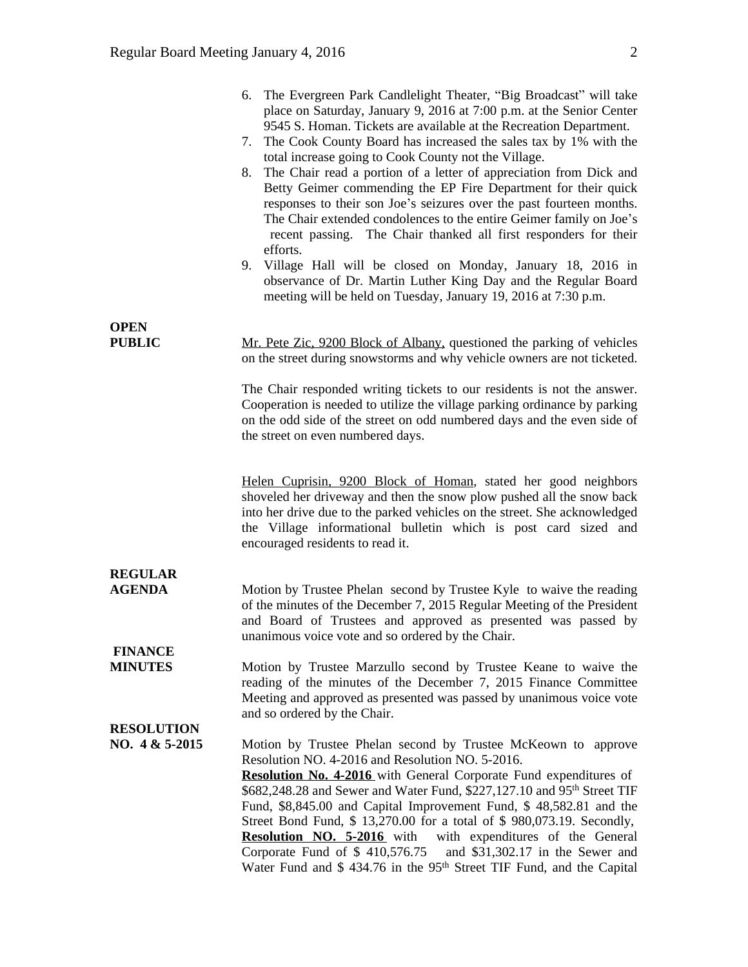|                                  | 6. The Evergreen Park Candlelight Theater, "Big Broadcast" will take<br>place on Saturday, January 9, 2016 at 7:00 p.m. at the Senior Center<br>9545 S. Homan. Tickets are available at the Recreation Department.<br>The Cook County Board has increased the sales tax by 1% with the<br>7.<br>total increase going to Cook County not the Village.<br>The Chair read a portion of a letter of appreciation from Dick and<br>8.<br>Betty Geimer commending the EP Fire Department for their quick<br>responses to their son Joe's seizures over the past fourteen months.<br>The Chair extended condolences to the entire Geimer family on Joe's<br>recent passing. The Chair thanked all first responders for their<br>efforts.<br>9. Village Hall will be closed on Monday, January 18, 2016 in<br>observance of Dr. Martin Luther King Day and the Regular Board<br>meeting will be held on Tuesday, January 19, 2016 at 7:30 p.m. |
|----------------------------------|----------------------------------------------------------------------------------------------------------------------------------------------------------------------------------------------------------------------------------------------------------------------------------------------------------------------------------------------------------------------------------------------------------------------------------------------------------------------------------------------------------------------------------------------------------------------------------------------------------------------------------------------------------------------------------------------------------------------------------------------------------------------------------------------------------------------------------------------------------------------------------------------------------------------------------------|
| <b>OPEN</b>                      |                                                                                                                                                                                                                                                                                                                                                                                                                                                                                                                                                                                                                                                                                                                                                                                                                                                                                                                                        |
| <b>PUBLIC</b>                    | Mr. Pete Zic, 9200 Block of Albany, questioned the parking of vehicles<br>on the street during snowstorms and why vehicle owners are not ticketed.                                                                                                                                                                                                                                                                                                                                                                                                                                                                                                                                                                                                                                                                                                                                                                                     |
|                                  | The Chair responded writing tickets to our residents is not the answer.<br>Cooperation is needed to utilize the village parking ordinance by parking<br>on the odd side of the street on odd numbered days and the even side of<br>the street on even numbered days.                                                                                                                                                                                                                                                                                                                                                                                                                                                                                                                                                                                                                                                                   |
|                                  | Helen Cuprisin, 9200 Block of Homan, stated her good neighbors<br>shoveled her driveway and then the snow plow pushed all the snow back<br>into her drive due to the parked vehicles on the street. She acknowledged<br>the Village informational bulletin which is post card sized and<br>encouraged residents to read it.                                                                                                                                                                                                                                                                                                                                                                                                                                                                                                                                                                                                            |
| <b>REGULAR</b>                   |                                                                                                                                                                                                                                                                                                                                                                                                                                                                                                                                                                                                                                                                                                                                                                                                                                                                                                                                        |
| <b>AGENDA</b>                    | Motion by Trustee Phelan second by Trustee Kyle to waive the reading<br>of the minutes of the December 7, 2015 Regular Meeting of the President<br>and Board of Trustees and approved as presented was passed by<br>unanimous voice vote and so ordered by the Chair.                                                                                                                                                                                                                                                                                                                                                                                                                                                                                                                                                                                                                                                                  |
| <b>FINANCE</b><br><b>MINUTES</b> | Motion by Trustee Marzullo second by Trustee Keane to waive the                                                                                                                                                                                                                                                                                                                                                                                                                                                                                                                                                                                                                                                                                                                                                                                                                                                                        |
|                                  | reading of the minutes of the December 7, 2015 Finance Committee<br>Meeting and approved as presented was passed by unanimous voice vote<br>and so ordered by the Chair.                                                                                                                                                                                                                                                                                                                                                                                                                                                                                                                                                                                                                                                                                                                                                               |
| <b>RESOLUTION</b>                |                                                                                                                                                                                                                                                                                                                                                                                                                                                                                                                                                                                                                                                                                                                                                                                                                                                                                                                                        |
| NO. $4 & 5-2015$                 | Motion by Trustee Phelan second by Trustee McKeown to approve<br>Resolution NO. 4-2016 and Resolution NO. 5-2016.                                                                                                                                                                                                                                                                                                                                                                                                                                                                                                                                                                                                                                                                                                                                                                                                                      |
|                                  | <b>Resolution No. 4-2016</b> with General Corporate Fund expenditures of                                                                                                                                                                                                                                                                                                                                                                                                                                                                                                                                                                                                                                                                                                                                                                                                                                                               |
|                                  | \$682,248.28 and Sewer and Water Fund, \$227,127.10 and 95 <sup>th</sup> Street TIF                                                                                                                                                                                                                                                                                                                                                                                                                                                                                                                                                                                                                                                                                                                                                                                                                                                    |
|                                  | Fund, \$8,845.00 and Capital Improvement Fund, \$48,582.81 and the                                                                                                                                                                                                                                                                                                                                                                                                                                                                                                                                                                                                                                                                                                                                                                                                                                                                     |
|                                  | Street Bond Fund, \$ 13,270.00 for a total of \$ 980,073.19. Secondly,<br><b>Resolution NO. 5-2016</b> with with expenditures of the General                                                                                                                                                                                                                                                                                                                                                                                                                                                                                                                                                                                                                                                                                                                                                                                           |
|                                  | Corporate Fund of $$410,576.75$<br>and \$31,302.17 in the Sewer and                                                                                                                                                                                                                                                                                                                                                                                                                                                                                                                                                                                                                                                                                                                                                                                                                                                                    |
|                                  | Water Fund and \$434.76 in the 95 <sup>th</sup> Street TIF Fund, and the Capital                                                                                                                                                                                                                                                                                                                                                                                                                                                                                                                                                                                                                                                                                                                                                                                                                                                       |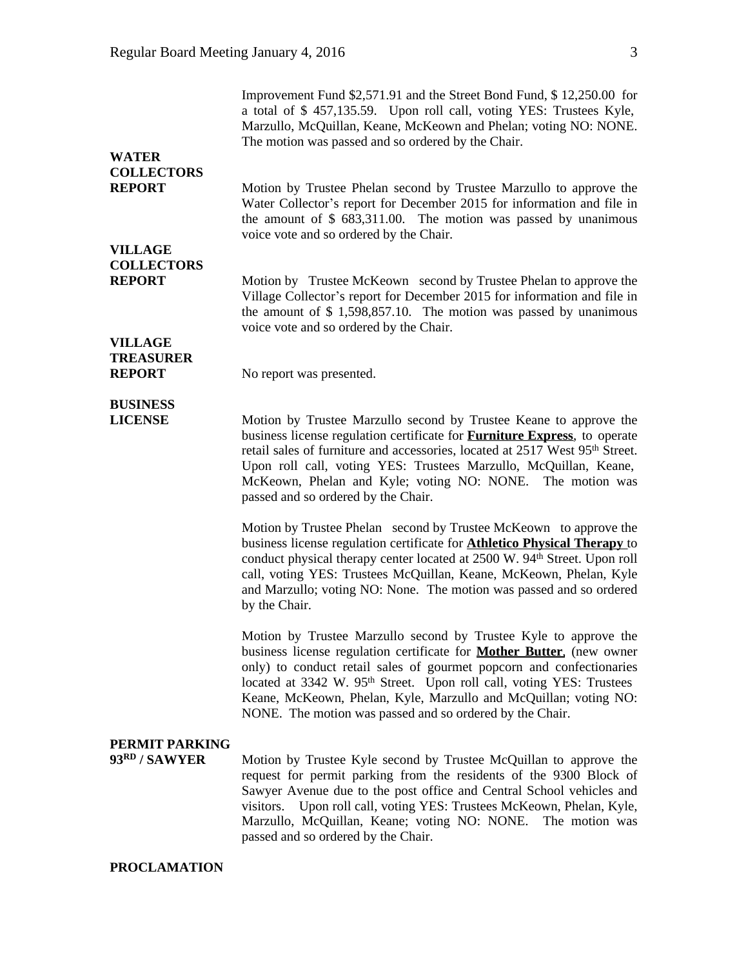|                                    | Improvement Fund \$2,571.91 and the Street Bond Fund, \$12,250.00 for<br>a total of \$457,135.59. Upon roll call, voting YES: Trustees Kyle,<br>Marzullo, McQuillan, Keane, McKeown and Phelan; voting NO: NONE.<br>The motion was passed and so ordered by the Chair.                                                                                                                                                                        |
|------------------------------------|-----------------------------------------------------------------------------------------------------------------------------------------------------------------------------------------------------------------------------------------------------------------------------------------------------------------------------------------------------------------------------------------------------------------------------------------------|
| <b>WATER</b>                       |                                                                                                                                                                                                                                                                                                                                                                                                                                               |
| <b>COLLECTORS</b>                  |                                                                                                                                                                                                                                                                                                                                                                                                                                               |
| <b>REPORT</b>                      | Motion by Trustee Phelan second by Trustee Marzullo to approve the<br>Water Collector's report for December 2015 for information and file in<br>the amount of \$ 683,311.00. The motion was passed by unanimous<br>voice vote and so ordered by the Chair.                                                                                                                                                                                    |
| <b>VILLAGE</b>                     |                                                                                                                                                                                                                                                                                                                                                                                                                                               |
|                                    |                                                                                                                                                                                                                                                                                                                                                                                                                                               |
| <b>COLLECTORS</b><br><b>REPORT</b> | Motion by Trustee McKeown second by Trustee Phelan to approve the<br>Village Collector's report for December 2015 for information and file in<br>the amount of \$ 1,598,857.10. The motion was passed by unanimous<br>voice vote and so ordered by the Chair.                                                                                                                                                                                 |
| <b>VILLAGE</b>                     |                                                                                                                                                                                                                                                                                                                                                                                                                                               |
| <b>TREASURER</b><br><b>REPORT</b>  | No report was presented.                                                                                                                                                                                                                                                                                                                                                                                                                      |
|                                    |                                                                                                                                                                                                                                                                                                                                                                                                                                               |
| <b>BUSINESS</b><br><b>LICENSE</b>  | Motion by Trustee Marzullo second by Trustee Keane to approve the<br>business license regulation certificate for <b>Furniture Express</b> , to operate<br>retail sales of furniture and accessories, located at 2517 West 95 <sup>th</sup> Street.<br>Upon roll call, voting YES: Trustees Marzullo, McQuillan, Keane,<br>McKeown, Phelan and Kyle; voting NO: NONE. The motion was<br>passed and so ordered by the Chair.                    |
|                                    | Motion by Trustee Phelan second by Trustee McKeown to approve the<br>business license regulation certificate for <b>Athletico Physical Therapy</b> to<br>conduct physical therapy center located at 2500 W. 94 <sup>th</sup> Street. Upon roll<br>call, voting YES: Trustees McQuillan, Keane, McKeown, Phelan, Kyle<br>and Marzullo; voting NO: None. The motion was passed and so ordered<br>by the Chair.                                  |
|                                    | Motion by Trustee Marzullo second by Trustee Kyle to approve the<br>business license regulation certificate for <b>Mother Butter</b> , (new owner<br>only) to conduct retail sales of gourmet popcorn and confectionaries<br>located at 3342 W. 95 <sup>th</sup> Street. Upon roll call, voting YES: Trustees<br>Keane, McKeown, Phelan, Kyle, Marzullo and McQuillan; voting NO:<br>NONE. The motion was passed and so ordered by the Chair. |
|                                    |                                                                                                                                                                                                                                                                                                                                                                                                                                               |
| PERMIT PARKING<br>93RD / SAWYER    | Motion by Trustee Kyle second by Trustee McQuillan to approve the<br>request for permit parking from the residents of the 9300 Block of<br>Sawyer Avenue due to the post office and Central School vehicles and<br>Upon roll call, voting YES: Trustees McKeown, Phelan, Kyle,<br>visitors.<br>Marzullo, McQuillan, Keane; voting NO: NONE. The motion was<br>passed and so ordered by the Chair.                                             |

## **PROCLAMATION**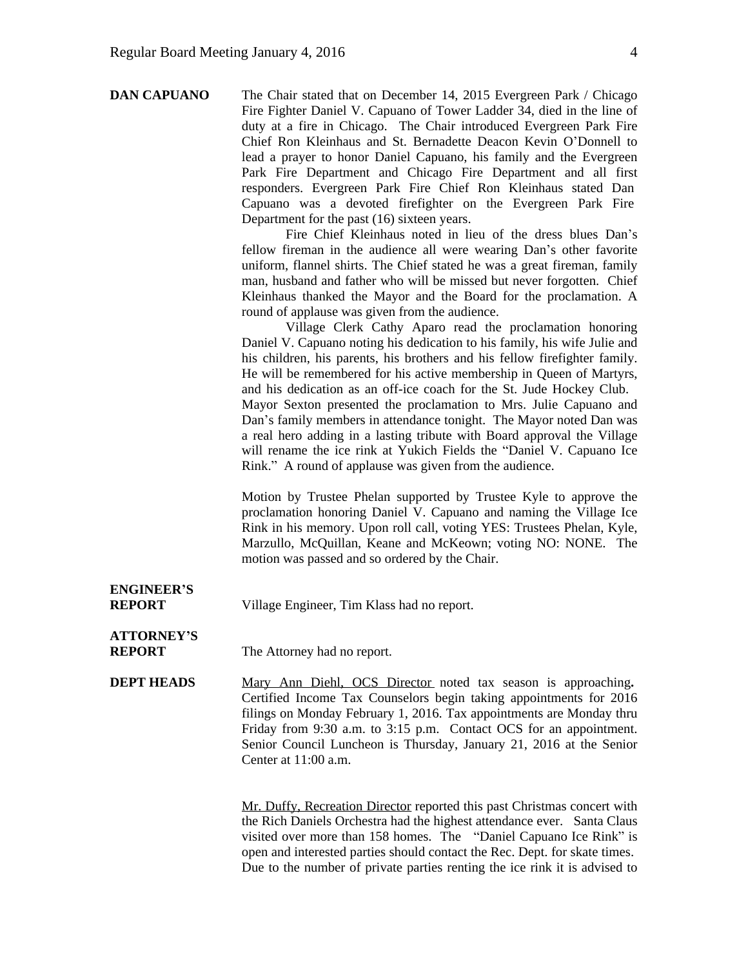| <b>DAN CAPUANO</b>                 | The Chair stated that on December 14, 2015 Evergreen Park / Chicago<br>Fire Fighter Daniel V. Capuano of Tower Ladder 34, died in the line of<br>duty at a fire in Chicago. The Chair introduced Evergreen Park Fire<br>Chief Ron Kleinhaus and St. Bernadette Deacon Kevin O'Donnell to<br>lead a prayer to honor Daniel Capuano, his family and the Evergreen<br>Park Fire Department and Chicago Fire Department and all first<br>responders. Evergreen Park Fire Chief Ron Kleinhaus stated Dan<br>Capuano was a devoted firefighter on the Evergreen Park Fire<br>Department for the past (16) sixteen years.<br>Fire Chief Kleinhaus noted in lieu of the dress blues Dan's<br>fellow fireman in the audience all were wearing Dan's other favorite<br>uniform, flannel shirts. The Chief stated he was a great fireman, family<br>man, husband and father who will be missed but never forgotten. Chief<br>Kleinhaus thanked the Mayor and the Board for the proclamation. A<br>round of applause was given from the audience.<br>Village Clerk Cathy Aparo read the proclamation honoring<br>Daniel V. Capuano noting his dedication to his family, his wife Julie and<br>his children, his parents, his brothers and his fellow firefighter family.<br>He will be remembered for his active membership in Queen of Martyrs,<br>and his dedication as an off-ice coach for the St. Jude Hockey Club.<br>Mayor Sexton presented the proclamation to Mrs. Julie Capuano and<br>Dan's family members in attendance tonight. The Mayor noted Dan was<br>a real hero adding in a lasting tribute with Board approval the Village<br>will rename the ice rink at Yukich Fields the "Daniel V. Capuano Ice<br>Rink." A round of applause was given from the audience.<br>Motion by Trustee Phelan supported by Trustee Kyle to approve the<br>proclamation honoring Daniel V. Capuano and naming the Village Ice<br>Rink in his memory. Upon roll call, voting YES: Trustees Phelan, Kyle,<br>Marzullo, McQuillan, Keane and McKeown; voting NO: NONE. The<br>motion was passed and so ordered by the Chair. |
|------------------------------------|---------------------------------------------------------------------------------------------------------------------------------------------------------------------------------------------------------------------------------------------------------------------------------------------------------------------------------------------------------------------------------------------------------------------------------------------------------------------------------------------------------------------------------------------------------------------------------------------------------------------------------------------------------------------------------------------------------------------------------------------------------------------------------------------------------------------------------------------------------------------------------------------------------------------------------------------------------------------------------------------------------------------------------------------------------------------------------------------------------------------------------------------------------------------------------------------------------------------------------------------------------------------------------------------------------------------------------------------------------------------------------------------------------------------------------------------------------------------------------------------------------------------------------------------------------------------------------------------------------------------------------------------------------------------------------------------------------------------------------------------------------------------------------------------------------------------------------------------------------------------------------------------------------------------------------------------------------------------------------------------------------------------------------------------------------------------------------------------------------------|
| <b>ENGINEER'S</b><br><b>REPORT</b> | Village Engineer, Tim Klass had no report.                                                                                                                                                                                                                                                                                                                                                                                                                                                                                                                                                                                                                                                                                                                                                                                                                                                                                                                                                                                                                                                                                                                                                                                                                                                                                                                                                                                                                                                                                                                                                                                                                                                                                                                                                                                                                                                                                                                                                                                                                                                                    |
| <b>ATTORNEY'S</b><br><b>REPORT</b> | The Attorney had no report.                                                                                                                                                                                                                                                                                                                                                                                                                                                                                                                                                                                                                                                                                                                                                                                                                                                                                                                                                                                                                                                                                                                                                                                                                                                                                                                                                                                                                                                                                                                                                                                                                                                                                                                                                                                                                                                                                                                                                                                                                                                                                   |
| <b>DEPT HEADS</b>                  | Mary Ann Diehl, OCS Director noted tax season is approaching.<br>Certified Income Tax Counselors begin taking appointments for 2016<br>filings on Monday February 1, 2016. Tax appointments are Monday thru<br>Friday from 9:30 a.m. to 3:15 p.m. Contact OCS for an appointment.<br>Senior Council Luncheon is Thursday, January 21, 2016 at the Senior<br>Center at 11:00 a.m.<br>Mr. Duffy, Recreation Director reported this past Christmas concert with                                                                                                                                                                                                                                                                                                                                                                                                                                                                                                                                                                                                                                                                                                                                                                                                                                                                                                                                                                                                                                                                                                                                                                                                                                                                                                                                                                                                                                                                                                                                                                                                                                                  |
|                                    | the Rich Daniels Orchestra had the highest attendance ever. Santa Claus<br>visited over more than 158 homes. The "Daniel Capuano Ice Rink" is                                                                                                                                                                                                                                                                                                                                                                                                                                                                                                                                                                                                                                                                                                                                                                                                                                                                                                                                                                                                                                                                                                                                                                                                                                                                                                                                                                                                                                                                                                                                                                                                                                                                                                                                                                                                                                                                                                                                                                 |

open and interested parties should contact the Rec. Dept. for skate times. Due to the number of private parties renting the ice rink it is advised to